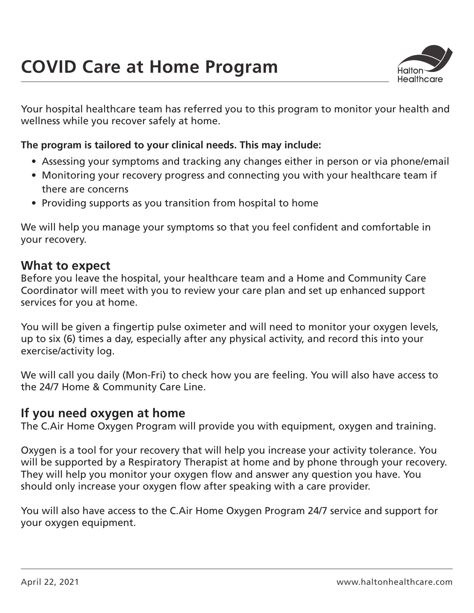

Your hospital healthcare team has referred you to this program to monitor your health and wellness while you recover safely at home.

### **The program is tailored to your clinical needs. This may include:**

- Assessing your symptoms and tracking any changes either in person or via phone/email
- Monitoring your recovery progress and connecting you with your healthcare team if there are concerns
- Providing supports as you transition from hospital to home

We will help you manage your symptoms so that you feel confident and comfortable in your recovery.

### **What to expect**

Before you leave the hospital, your healthcare team and a Home and Community Care Coordinator will meet with you to review your care plan and set up enhanced support services for you at home.

You will be given a fingertip pulse oximeter and will need to monitor your oxygen levels, up to six (6) times a day, especially after any physical activity, and record this into your exercise/activity log.

We will call you daily (Mon-Fri) to check how you are feeling. You will also have access to the 24/7 Home & Community Care Line.

## **If you need oxygen at home**

The C.Air Home Oxygen Program will provide you with equipment, oxygen and training.

Oxygen is a tool for your recovery that will help you increase your activity tolerance. You will be supported by a Respiratory Therapist at home and by phone through your recovery. They will help you monitor your oxygen flow and answer any question you have. You should only increase your oxygen flow after speaking with a care provider.

You will also have access to the C.Air Home Oxygen Program 24/7 service and support for your oxygen equipment.